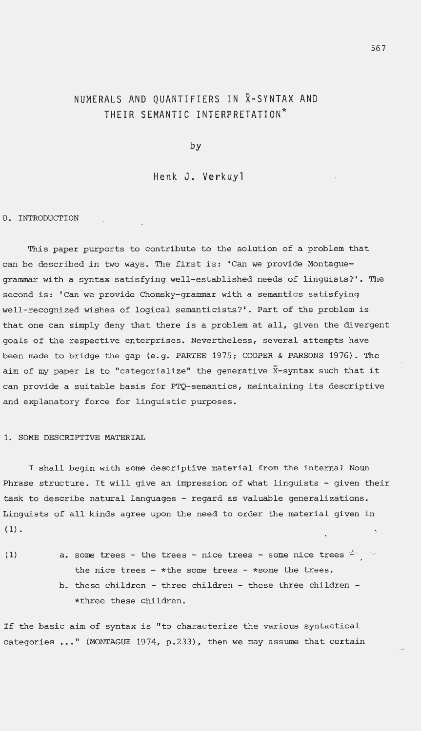# NUMERALS AND QUANTIFIERS IN X-SYNTAX AND THEIR SEMANTIC INTERPRETATION<sup>\*</sup>

by

Henk J. Verkuyl

#### 0. INTRODUCTION

This paper purports to contribute to the solution of a problem that can be described in two ways. The first is: 'Can we provide Montaguegrammar with a syntax satisfying well-established needs of linguists?'. The second is: ' Can we provide Chomsky-grammar with a semantics satisfying well-recognized wishes of logical semanticists? '. Part of the problem is that one can simply deny that there is a problem at all, given the divergent goals of the respective enterprises. Nevertheless, several attempts have been made to bridge the gap (e.g. PARTEE 1975; COOPER & PARSONS 1976). The aim of my paper is to "categorialize" the generative  $\bar{x}$ -syntax such that it can provide a suitable basis for PTQ-semantics, maintaining its descriptive and explanatory force for linguistic purposes.

### 1. SOME DESCRIPTIVE MATERIAL

I shall begin with some descriptive material from the internal Noun Phrase structure. It will give an impression of what linguists - given their task to describe natural languages - regard as valuable generalizations. Linguists of all kinds agree upon the need to order the material given in  $(1)$ .

(1)  $a.$  some trees - the trees - nice trees - some nice trees  $4 \cdot$ the nice trees - \* the some trees - \*some the trees. b. these children - three children - these three children -\*three these children .

If the basic aim of syntax is " to characterize the various syntactical categories ..." (MONTAGUE 1974, p.233), then we may assume that certain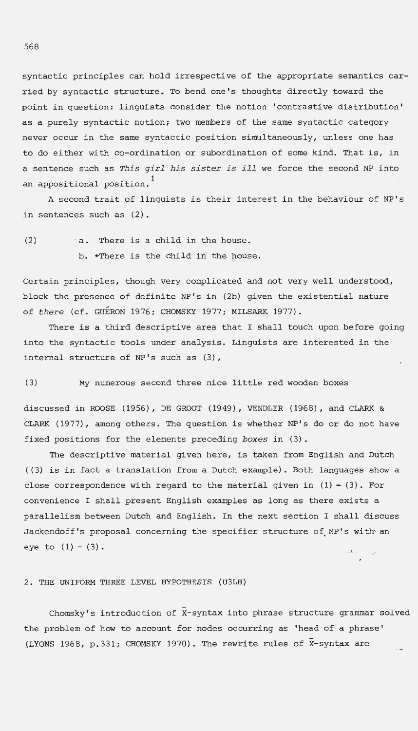syntactic principles can hold irrespective of the appropriate semantics carried by syntactic structure . To bend one's thoughts directly toward the point in question: linguists consider the notion ' contrastive distribution' as a purely syntactic notion; two members of the same syntactic category never occur in the same syntactic position simultaneously, unless one has to do either with co-ordination or subordination of some kind. That is, in a sentence such as *This girl his sister is ill* we force the second NP into an appositional position. $^{\rm 1}$ 

A second trait of linguists is their interest in the behaviour of NP's in sentences such as (2) .

(2) a. There is a child in the house . b. \*There is the child in the house.

Certain principles, though very complicated and not very well understood, block the presence of definite NP's in (2b) given the existential nature of *there* (cf. GUERON 1976; CHOMSKY 1977; MILSARK 1977).

There is a third descriptive area that I shall touch upon before going into the syntactic tools under analysis. Linguists are interested in the internal structure of NP's such as (3),

(3) My numerous second three nice little red wooden boxes

discussed in ROOSE (1956), DE GROOT (1949), VENDLER (1968) , and CLARK & CLARK (1977), among others. The question is whether NP's do or do not have fixed positions for the elements preceding *boxes* in (3).

The descriptive material given here, is taken from English and Dutch ((3) is in fact a translation from a Dutch example) . Both languages show a close correspondence with regard to the material given in  $(1) - (3)$ . For convenience I shall present English examples as long as there exists a parallelism between Dutch and English. In the next section I shall discuss Jackendoff's proposal concerning the specifier structure of NP's with an eye to  $(1) - (3)$ . يي المستخدم

2. THE UNIFORM THREE LEVEL HYPOTHESIS (U3LH)

Chomsky's introduction of  $\bar{x}$ -syntax into phrase structure grammar solved the problem of how to account for nodes occurring as 'head of a phrase ' (LYONS 1968, p.331; CHOMSKY 1970). The rewrite rules of  $\bar{x}$ -syntax are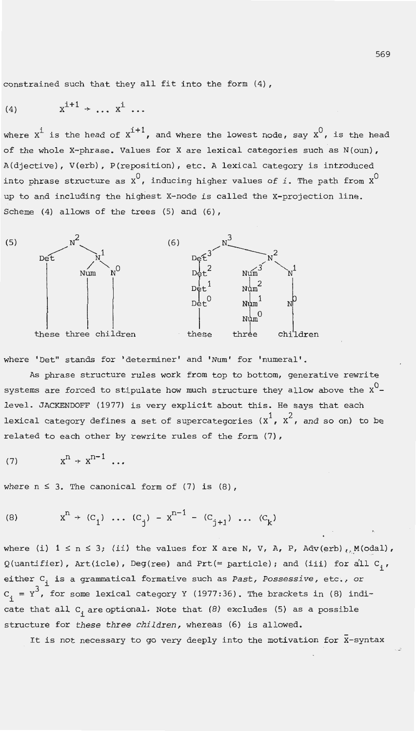constrained such that they all fit into the form (4),

$$
(4) \qquad x^{i+1} \rightarrow \ldots x^{i} \ldots
$$

where  $x^i$  is the head of  $x^{i+1}$ , and where the lowest node, say  $x^0$ , is the head of the whole X-phrase. Values for X are lexical categories such as N(oun), A(djective), V(erb), P(reposition), etc. A lexical category is introduced into phrase structure as  $x^0$ , inducing higher values of *i*. The path from  $x^0$ up to and including the highest X-node is called the X-projection line. Scheme (4) allows of the trees (5) and (6),



where 'Det" stands for 'determiner' and 'Num' for 'numeral'.

As phrase structure rules work from top to bottom, generative rewrite systems are forced to stipulate how much structure they allow above the  $x^0$ level. JACKENDOFF (1977) is very explicit about this. He says that each lexical category defines a set of supercategories  $(x^1, x^2,$  and so on) to be related to each other by rewrite rules of the form (7),

$$
(7) \t xn \rightarrow xn-1 \ldots
$$

where  $n \leq 3$ . The canonical form of (7) is (8),

(8) 
$$
x^n + (c_1) \dots (c_j) - x^{n-1} - (c_{j+1}) \dots (c_k)
$$

where (i)  $1 \le n \le 3$ ; (ii) the values for X are N, V, A, P, Adv(erb),  $M(odal)$ ,  $Q($ uantifier), Art(icle), Deg(ree) and Prt(= particle); and (iii) for all  $C_i$ , either C<sub>i</sub> is a grammatical formative such as *Past, Possessive*, etc., or  $C_i = Y^3$ , for some lexical category Y (1977:36). The brackets in (8) indicate that all  $C_i$  are optional. Note that (8) excludes (5) as a possible structure for *these three children,* whereas (6) is allowed.

It is not necessary to go very deeply into the motivation for  $\bar{x}$ -syntax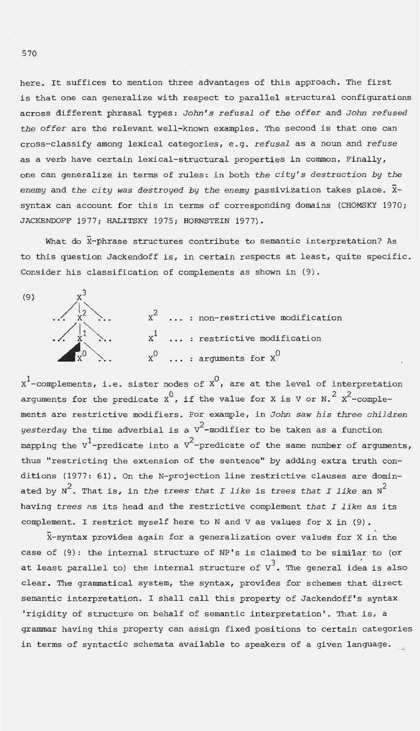here. It suffices to mention three advantages of this approach. The first is that one can generalize with respect to parallel structural configurations across different phrasal types: *John's refusal of the offer* and *John refused the offer* are the relevant well-known examples. The second is that one can cross-classify among lexical categories, e.g. *refusal* as a noun and *refuse*  as a verb have certain lexical-structural properties in common. Finally, one can generalize in terms of rules: in both *the city's destruction by the*  enemy and the city was destroyed by the enemy passivization takes place.  $\bar{x}$ syntax can account for this in terms of corresponding domains (CHOMSKY 1970; JACKENDOFF 1977; HALITSKY 1975; HORNSTEIN 1977).

What do  $\bar{x}$ -phrase structures contribute to semantic interpretation? As to this question Jackendoff is, in certain respects at least, quite specific. Consider his classification of complements as shown in (9).



 $\textbf{x}^1$ -complements, i.e. sister nodes of  $\textbf{x}^0$ , are at the level of interpretation arguments for the predicate  $\mathrm{x}^{0}$ , if the value for X is V or N. $^{2}$  X $^{2}$ -complements are restrictive modifiers. For example, in *John saw his three children*   $y$ *esterday* the time adverbial is a  $\rm{v}^2$ -modifier to be taken as a function mapping the V<sup>1</sup>-predicate into a V<sup>2</sup>-predicate of the same number of arguments, thus "restricting the extension of the sentence" by adding extra truth conditions (1977: 61). On the N-projection line restrictive clauses are dominated by  $N^2$ . That is, in the trees that I like is trees that I like an  $N^2$ having *trees* ns its head and the restrictive complement *that I like* as its complement. I restrict myself here to N and V as values for X in (9) .

 $\bar{x}$ -syntax provides again for a generalization over values for X in the case of (9): the internal structure of NP's is claimed to be similar to (or at least parallel to) the internal structure of  $v^3$ . The general idea is also clear. The grammatical system, the syntax, provides for schemes that direct semantic interpretation. I shall call this property of Jackendoff's syntax 'rigidity of structure on behalf of semantic interpretation '. That is, a grammar having this property can assign fixed positions to certain categories in terms of syntactic schemata available to speakers of a given language.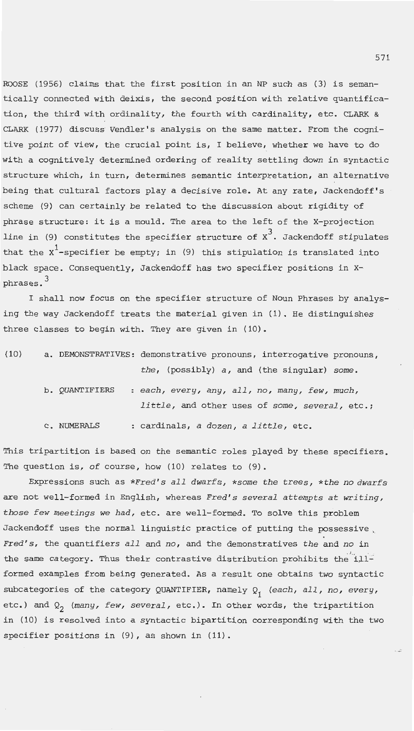ROOSE (1956) claims that the first position in an NP such as (3) is semantically connected with deixis, the second position with relative quantification, the third with ordinality, the fourth with cardinality, etc. CLARK & CLARK (1977) discuss Vendler's analysis on the same matter. From the cognitive point of view, the crucial point is, I believe, whether we have to do with a cognitively determined ordering of reality settling down in syntactic structure which, in turn, determines semantic interpretation, an alternative being that cultural factors play a decisive role. At any rate, Jackendoff's scheme (9) can certainly. be related to the discussion about rigidity of phrase structure: it is a mould. The area to the left of the X-projection line in (9) constitutes the specifier structure of  $x^3$ . Jackendoff stipulates that the  $x^1$ -specifier be empty; in (9) this stipulation is translated into black space. Consequently, Jackendoff has two specifier positions in xphrases. 3

I shall now focus on the specifier structure of Noun Phrases by analysing the way Jackendoff treats the material given in (1). He distinguishes three classes to begin with. They are given in (10).

| (10) |                | a. DEMONSTRATIVES: demonstrative pronouns, interrogative pronouns, |
|------|----------------|--------------------------------------------------------------------|
|      |                | the, (possibly) a, and (the singular) some.                        |
|      | b. QUANTIFIERS | : each, every, any, all, no, many, few, much,                      |
|      |                | little, and other uses of some, several, etc.;                     |
|      | C. NUMERALS    | : cardinals, a dozen, a little, etc.                               |

This tripartition is based on the semantic roles played by these specifiers. The question is, of course, how (10) relates to (9) .

Expressions such as *\*Fred's all dwarfs, \*some the trees, \*the no dwarfs*  are not well-formed in English, whereas *Fred's several attempts at writing, those few meetings we had,* etc. are well-formed. To solve this problem Jackendoff uses the normal linguistic practice of putting the possessive , *Fred's,* the quantifiers *all* and *no,* and the demonstratives *the* and *no* in the same category. Thus their contrastive distribution prohibits the illformed examples from being generated. As a result one obtains two syntactic subcategories of the category QUANTIFIER, namely Q<sub>1</sub> (each, all, no, every, etc.) and  $Q_2$  (many, few, several, etc.). In other words, the tripartition in (10) is resolved into a syntactic bipartition corresponding with the two specifier positions in (9), as shown in (11).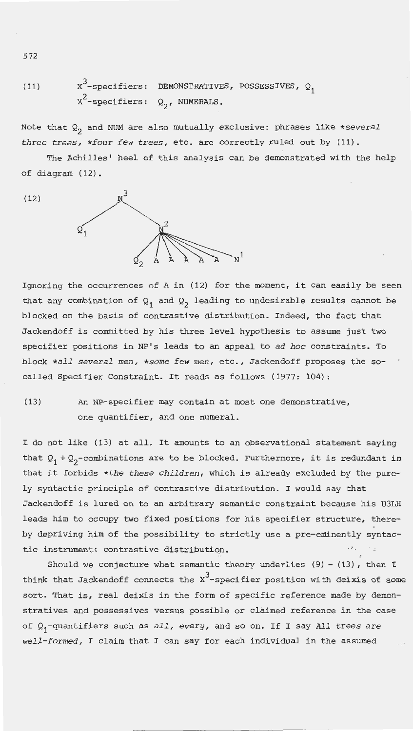(11) 
$$
x^3
$$
-specifiers: DEMONSTRATIVES, POSSESSIVES,  $Q_1$   
 $x^2$ -specifiers:  $Q_2$ , NUMERALS.

Note that Q<sub>2</sub> and NUM are also mutually exclusive: phrases like \*several *three trees, \*four few trees,* etc. are correctly ruled out by (11).

The Achilles' heel of this analysis can be demonstrated with the help of diagram ( 12).

(12)



Ignoring the occurrences of A in (12) for the moment, it can easily be seen that any combination of  $Q_1$  and  $Q_2$  leading to undesirable results cannot be blocked on the basis of contrastive distribution. Indeed, the fact that Jackendoff is committed by his three level hypothesis to assume just two specifier positions in NP's leads to an appeal to *ad hoc* constraints. To block *\*all several men,* \*some *few men,* etc., Jackendoff proposes the socalled Specifier Constraint. It reads as follows (1977: 104):

(13) An NP-specifier may contain at most one demonstrative, one quantifier, and one numeral.

I do not like (13) at all. It amounts to an observational statement saying that  $Q_1 + Q_2$ -combinations are to be blocked. Furthermore, it is redundant in that it forbids *\*the these children,* which is already excluded by the purely syntactic principle of contrastive distribution. I would say that Jackendoff is lured on to an arbitrary semantic constraint because his U3LH leads him to occupy two fixed positions for his specifier structure, thereby depriving him of the possibility to strictly use a pre-eminently syntactic instrument: contrastive distributiqn. • >. . \.;

Should we conjecture what semantic theory underlies  $(9) - (13)$ , then I think that Jackendoff connects the  $x^3$ -specifier position with deixis of some sort. That is, real deixis in the form of specific reference made by demonstratives and possessives versus possible or claimed reference in the case of Q1 -quantifiers such as *all, every,* and so on. If I say *All trees are well-formed,* I claim that I can say for each individual in the assumed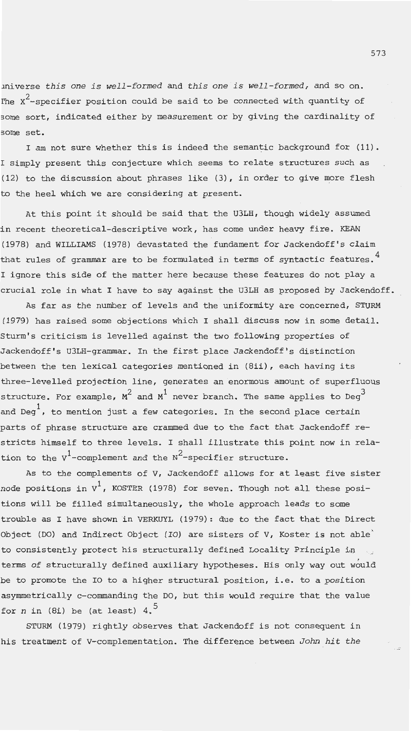~niverse *this one is well-formed* and *this one is well-formed,* and so on. The  $x^2$ -specifier position could be said to be connected with quantity of some sort, indicated either by measurement or by giving the cardinality of **;;ome set.** 

I am not sure whether this is indeed the semantic background for (11) . I simply present this conjecture which seems to relate structures such as (12) to the discussion about phrases like (3), in order to give more flesh to the heel which we are considering at present.

At this point it should be said that the U3LH, though widely assumed in recent theoretical-descriptive work, has come under heavy fire. KEAN (1978) and WILLIAMS (1978) devastated the fundament for Jackendoff's claim that rules of grammar are to be formulated in terms of syntactic features.  $^4$ I ignore this side of the matter here because these features do not play a crucial role in what I have to say against the U3LH as proposed by Jackendoff.

As far as the number of levels and the uniformity are concerned, STURM (1979) has raised some objections which I shall discuss now in some detail. Sturm's criticism is levelled against the two following properties of Jackendoff's U3LH-grammar. In the first place Jackendoff's distinction between the ten lexical categories mentioned in (Bii), each having its three-levelled projection line, generates an enormous amount of superfluous structure. For example,  $\texttt{M}^{2}$  and  $\texttt{M}^{1}$  never branch. The same applies to Deg $^{3}$ and Deg<sup>1</sup>, to mention just a few categories. In the second place certain parts of phrase structure are crammed due to the fact that Jackendoff restricts himself to three levels. I shall illustrate this point now in relation to the  $v^1$ -complement and the  $v^2$ -specifier structure.

As to the complements of V, Jackendoff allows for at least five sister node positions in  $v^1$ , KOSTER (1978) for seven. Though not all these positions will be filled simultaneously, the whole approach leads to some trouble as I have shown in VERKUYL ( 1979): due to the fact that the Direct Object (DO) and Indirect Object (IO) are sisters of  $V$ , Koster is not able to consistently protect his structurally defined Locality Principle in terms of structurally defined auxiliary hypotheses. His only way out would be to promote the IO to a higher structural position, i.e. to a position asymmetrically c-commanding the DO , but this would require that the value for  $n$  in (8i) be (at least) 4.<sup>5</sup>

STURM (1979) rightly observes that Jackendoff is not consequent in his treatment of V-complementation. The difference between *John hit the*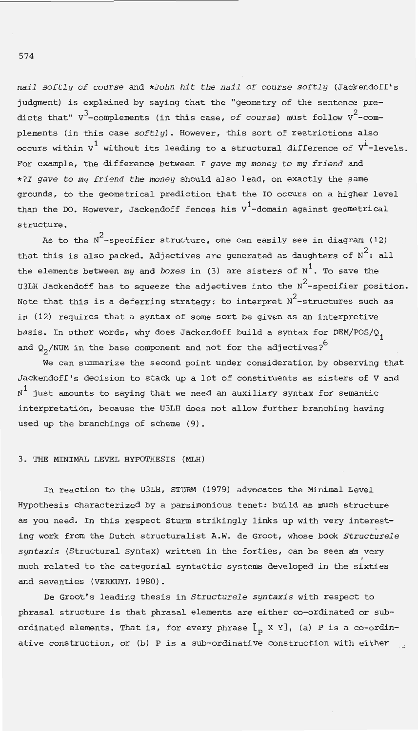*nail softly of course* and *\*John hit the nail of course softly* (Jackendoff's judgment) is explained by saying that the "geometry of the sentence predicts that" V<sup>3</sup>-complements (in this case, *of course*) must follow V<sup>2</sup>-complements (in this case *softly).* However, this sort of restrictions also occurs within  $v^1$  without its leading to a structural difference of  $v^1$ -levels. For example, the difference between *I gave my money to my friend* and *\*?I gave to my friend the money* should also lead, on exactly the same grounds, to the geometrical prediction that the IO occurs on a higher level than the DO. However, Jackendoff fences his  $v^1$ -domain against geometrical structure .

As to the  $\mathrm{N}^2$ -specifier structure, one can easily see in diagram (12) that this is also packed. Adjectives are generated as daughters of  $N^2$ : all the elements between *my* and *boxes* in (3) are sisters of N<sup>1</sup>. To save the U3LH Jackendoff has to squeeze the adjectives into the  $N^2$ -specifier position. Note that this is a deferring strategy: to interpret  $N^2$ -structures such as in (12) requires that a syntax of some sort be given as an interpretive basis. In other words, why does Jackendoff build a syntax for  $DEM/POS/Q$ , and  $Q_2 /$ NUM in the base component and not for the adjectives?<sup>6</sup>

We can summarize the second point under consideration by observing that Jackendoff's decision to stack up a lot of constituents as sisters of V and  $N^1$  just amounts to saying that we need an auxiliary syntax for semantic interpretation, because the U3LH does not allow further branching having used up the branchings of scheme (9) .

# 3. THE MINIMAL LEVEL HYPOTHESIS (MLH)

In reaction to the U3LH, STURM (1979) advocates the Minimal Level Hypothesis characterized by a parsimonious tenet: build as much structure as you need. In this respect Sturm strikingly links up with very interesting work from the Dutch structuralist A.W. de Groot, whose book *Structurele syntaxis* (Structural Syntax) written in the forties, can be seen as very much related to the categorial syntactic systems developed in the sixties and seventies (VERKUYL 1980).

De Groot's leading thesis in *Structurele syntaxis* with respect to phrasal structure is that phrasal elements are either co-ordinated or subordinated elements. That is, for every phrase  $\lceil_{p} X Y \rceil$ , (a) P is a co-ordinative construction, or (b) P is a sub-ordinative construction with either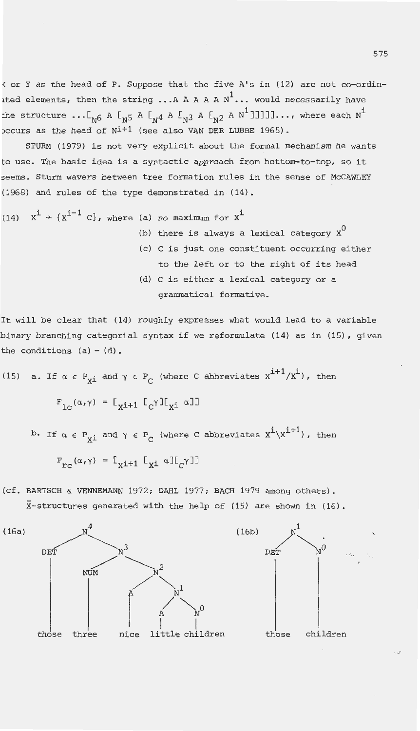{or Y as the head of P. Suppose that the five A's in (12) are not co-ordinited elements, then the string ... A A A A  $N^1$ ... would necessarily have the structure ...[<sub>N6</sub> A [<sub>N5</sub> A [<sub>N4</sub> A [<sub>N3</sub> A [<sub>N2</sub> A N<sup>1</sup>]]]]]]..., where each  $\text{N}^{\text{i}}$ )ccurs as the head of  $N^{1+1}$  (see also VAN DER LUBBE 1965).

STURM (1979) is not very explicit about the formal mechanism he wants to use. The basic idea is a syntactic approach from bottom-to-top, so it 3eems. Sturm wavers between tree formation rules in the sense of McCAWLEY (1968) and rules of the type demonstrated in (14).

(14) 
$$
x^{\dot{1}} \rightarrow \{x^{\dot{1}-1} \ C\}
$$
, where (a) no maximum for  $x^{\dot{1}}$   
(b) there is always a lexical category  $x^0$ 

- (c) C is just one constituent occurring either to the left or to the right of its head
- (d) C is either a lexical category or a grammatical formative.

It will be clear that (14) roughly expresses what would lead to a variable binary branching categorial syntax if we reformulate (14) as in (15), given the conditions  $(a) - (d)$ .

(15) a. If 
$$
\alpha \in P_{xi}
$$
 and  $\gamma \in P_C$  (where C abbreviates  $x^{i+1}/x^i$ ), then  
\n
$$
F_{1C}(\alpha, \gamma) = [x_{i+1} [C^{\gamma}] [x_i \alpha]]
$$
\nb. If  $\alpha \in P_{xi}$  and  $\gamma \in P_C$  (where C abbreviates  $x^i \backslash x^{i+1}$ ), then

b. If 
$$
\alpha \in P_{xi}
$$
 and  $\gamma \in P_C$  (where C abbreviates  $X^{\dagger} \setminus X^{\dagger \dagger}$ ), the 
$$
F_{rc}(\alpha, \gamma) = [I_{xi+1} [I_{xi} \alpha] [C_{\gamma}]
$$

(cf. BARTSCH & VENNEMANN 1972; DAHL 1977; BACH 1979 among others). X-structures generated with the help of (15) are shown in (16).

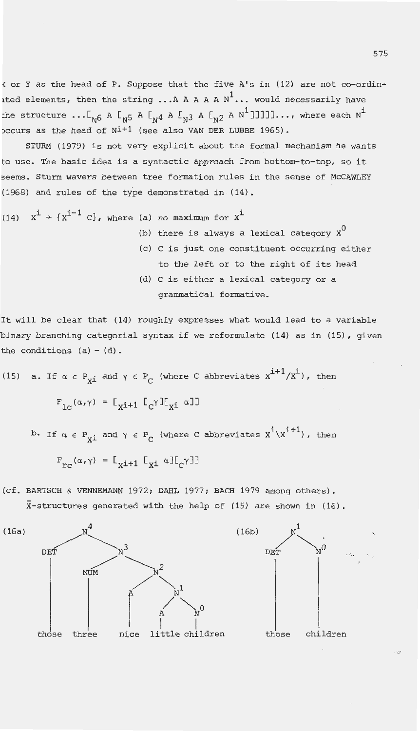{or Y as the head of P. Suppose that the five A's in (12) are not co-ordinited elements, then the string ... A A A A  $N^1$ ... would necessarily have the structure  $\ldots$  [ $_{\rm N^6}$  A  $\rm I_{\rm N^5}$  A  $\rm I_{\rm N^4}$  A  $\rm I_{\rm N^3}$  A  $\rm I_{\rm N^2}$  A  $\rm N^1$  ]]]]]..., where each  $\rm N^{\dot\perp}$ )ccurs as the head of  $N^{i+1}$  (see also VAN DER LUBBE 1965).

STURM (1979) is not very explicit about the formal mechanism he wants to use. The basic idea is a syntactic approach from bottom-to-top, so it 3eems. Sturm wavers between tree formation rules in the sense of McCAWLEY (1968) and rules of the type demonstrated in  $(14)$ .

(14) 
$$
x^{\dot{1}} \rightarrow \{x^{\dot{1}-1} \text{ C}\}\
$$
, where (a) no maximum for  $x^{\dot{1}}$   
(b) there is always a lexical category  $x^0$ 

- (c) C is just one constituent occurring either to the left or to the right of its head
- (d) c is either a lexical category or a grammatical formative.

It will be clear that (14) roughly expresses what would lead to a variable binary branching categorial syntax if we reformulate (14) as in (15), given the conditions  $(a) - (d)$ .

(15) a. If 
$$
\alpha \in P_{xi}
$$
 and  $\gamma \in P_C$  (where C abbreviates  $x^{i+1}/x^i$ ), then  
\n
$$
F_{1C}(\alpha, \gamma) = [x_{i+1} [C^{\gamma}] [x_i \alpha]]
$$
\nb. If  $\alpha \in P_{xi}$  and  $\gamma \in P_C$  (where C abbreviates  $x^i x^{i+1}$ ), then

$$
F_{rc}(\alpha, \gamma) = [F_{x1+1} \Gamma_{x1} \alpha] [F_{c} \gamma]
$$

(cf. BARTSCH & VENNEMANN 1972; DAHL 1977; BACH 1979 among others). X-structures generated with the help of (15) are shown in (16) .

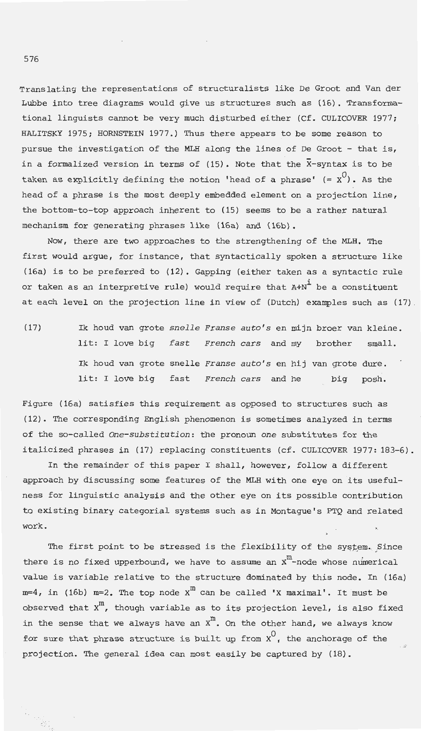Translating the representations of structuralists like De Groot and Van der Lubbe into tree diagrams would give us structures such as (16) . Transformational linguists cannot be very much disturbed either (Cf. CULICOVER 1977; HALITSKY 1975; HORNSTEIN 1977.) Thus there appears to be some reason to pursue the investigation of the MLH along the lines of De Groot - that is, in a formalized version in terms of (15). Note that the  $\bar{x}$ -syntax is to be taken as explicitly defining the notion 'head of a phrase'  $(= x^0)$ . As the head of a phrase is the most deeply embedded element on a projection line, the bottom-to-top approach inherent to (15) seems to be a rather natural mechanism for generating phrases like (16a) and (16b).

Now, there are two approaches to the strengthening of the MLH. The first would argue, for instance, that syntactically spoken a structure like (16a) is to be preferred to (12) . Gapping (either taken as a syntactic rule or taken as an interpretive rule) would require that  $A+N<sup>1</sup>$  be a constituent at each level on the projection line in view of (Dutch) examples such as (17)

(17) Ik houd van grote *snelle Franse auto 's* en mijn broer van kleine. lit: I love big *fast French cars* and my brother small. Ik houd van grote snelle *Franse auto's* en hij van grote dure. lit: I love big fast *French cars* and he big posh.

Figure (16a) satisfies this requirement as opposed to structures such as (12). The corresponding English phenomenon is sometimes analyzed in terms of the so-called *One-substitution:* the pronoun *one* substitutes for the italicized phrases in (17) replacing constituents (cf. CULICOVER 1977: 183-6).

In the remainder of this paper I shall, however, follow a different approach by discussing some features of the MLH with one eye on its usefulness for linguistic analysis and the other eye on its possible contribution to existing binary categorial systems such as in Montague's PTQ and related work.

The first point to be stressed is the flexibility of the system. Since there is no fixed upperbound, we have to assume an  $X<sup>m</sup>$ -node whose numerical value is variable relative to the structure dominated by this node. In (16a)  $m=4$ , in (16b)  $m=2$ . The top node  $X^{\text{m}}$  can be called 'X maximal'. It must be observed that  $x^m$ , though variable as to its projection level, is also fixed in the sense that we always have an  $x^m$ . On the other hand, we always know for sure that phrase structure is built up from  $x^0$ , the anchorage of the projection. The general idea can most easily be captured by (18).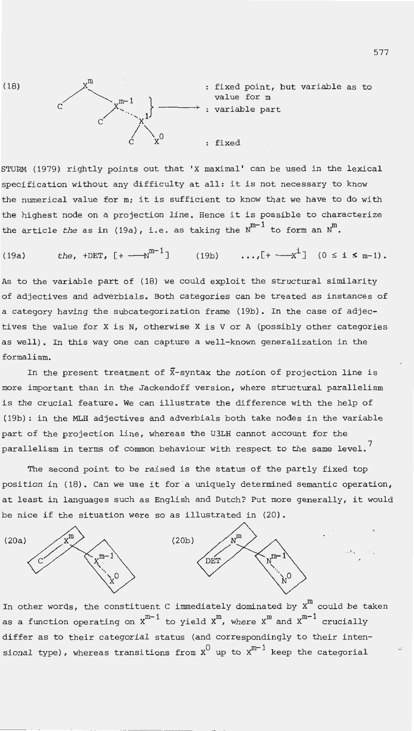

STURM (1979) rightly points out that 'X maximal' can be used in the lexical specification without any difficulty at all: it is not necessary to know the numerical value for m; it is sufficient to know that we have to do with the highest node on a projection line . Hence it is possible to characterize the article *the* as in (19a), i.e. as taking the  $N^{m-1}$  to form an  $N^m$ .

(19a) *the,*  $+DEF$ ,  $[+ -x^{m-1}]$  (19b) ...,  $[+ -x^1]$  ( $0 \le i \le m-1$ ).

As to the variable part of (18) we could exploit the structural similarity of adjectives and adverbials. Both categories can be treated as instances of a category having the subcategorization frame (19b). In the case of adjectives the value for X is N, otherwise X is V or A (possibly other categories as well). In this way one can capture a well-known generalization in the formalism.

In the present treatment of  $\bar{x}$ -syntax the notion of projection line is more important than in the Jackendoff version, where structural parallelism is the crucial feature. We can illustrate the difference with the help of (19b): in the MLH adjectives and adverbials both take nodes in the variable part of the projection line, whereas the U3LH cannot account for the parallelism in terms of common behaviour with respect to the same level.<sup>7</sup>

The second point to be raised is the status of the partly fixed top position in (18). Can we use it for a uniquely determined semantic operation, at least in languages such as English and Dutch? Put more generally, it would be nice if the situation were so as illustrated in (20).



In other words, the constituent C immediately dominated by  $x^m$  could be taken as a function operating on  $x^{m-1}$  to yield  $x^m$ , where  $x^m$  and  $x^{m-1}$  crucially differ as to their categorial status (and correspondingly to their intensional type), whereas transitions from  $x^0$  up to  $x^{m-1}$  keep the categorial

• >. . !... <sup>~</sup>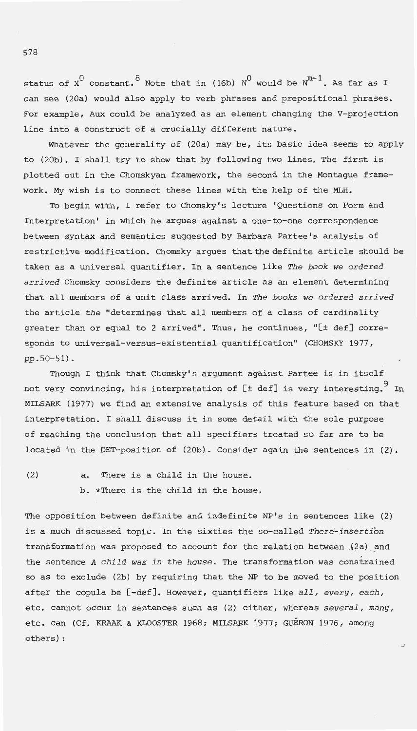status of  $x^0$  constant. <sup>8</sup> Note that in (16b) N<sup>0</sup> would be N<sup>m-1</sup>. As far as I can see (20a) would also apply to verb phrases and prepositional phrases. For example, Aux could be analyzed as an element changing the V-projection line into a construct of a crucially different nature.

Whatever the generality of (20a) may be, its basic idea seems to apply to (20b). I shall try to show that by following two lines. The first is plotted out in the Chomskyan framework, the second in the Montague framework. My wish is to connect these lines with the help of the MLH .

To begin with, I refer to Chomsky's lecture 'Questions on Form and Interpretation' in which he argues against a one-to-one correspondence between syntax and semantics suggested by Barbara Partee's analysis of restrictive modification. Chomsky argues that the definite article should be taken as a universal quantifier. In a sentence like *The book we ordered arrived* Chomsky considers the definite article as an element determining that all members of a unit class arrived. In *The books we ordered arrived*  the article *the* "determines that all members of a class of cardinality greater than or equal to 2 arrived". Thus, he continues, "[± def] corresponds to universal-versus-existential quantification" (CHOMSKY 1977, pp . 50-51) .

Though I think that Chomsky's argument against Partee is in itself not very convincing, his interpretation of  $[t$  def] is very interesting. In MILSARK (1977) we find an extensive analysis of this feature based on that interpretation. I shall discuss it in some detail with the sole purpose of reaching the conclusion that all specifiers treated so far are to be located in the DET-position of (20b). Consider again the sentences in (2).

(2) a. There is a child in the house . b. \*There is the child in the house.

The opposition between definite and indefinite NP's in sentences like (2) is a much discussed topic. In the sixties the so-called There-insertion transformation was proposed to account for the relation between  $(2a)$  and the sentence *A child was in the house*. The transformation was constrained so as to exclude (2b) by requiring that the NP to be moved to the position after the copula be [-def] . However, quantifiers like *all, every, each,*  etc. cannot occur in sentences such as (2) either, whereas *several, many,*  etc. can (Cf. KRAAK & KLOOSTER 1968; MILSARK 1977; GUÉRON 1976, among others) :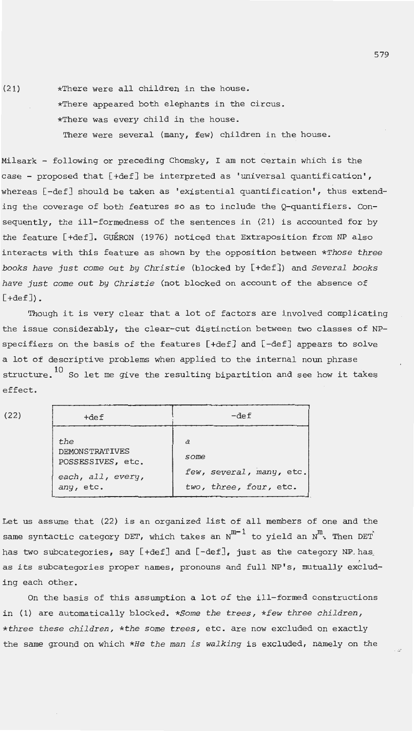(21) \*There were all children in the house. \*There appeared both elephants in the circus. \*There was every child in the house . There were several (many, few) children in the house.

Milsark - following or preceding Chomsky, I am not certain which is the case - proposed that [+def] be interpreted as 'universal quantification', whereas [-def] should be taken as 'existential quantification', thus extending the coverage of both features so as to include the Q-quantifiers. Consequently, the ill-formedness of the sentences in (21) is accounted for by the feature [+def]. GUERON (1976) noticed that Extraposition from NP also interacts with this feature as shown by the opposition between *\*Those three books have just* come out *by Christie* (blocked by [+def]) and *Several books have just* come out *by Christie* (not blocked on account of the absence of  $[+def]$ .

Though it is very clear that a lot of factors are involved complicating the issue considerably, the clear-cut distinction between two classes of NPspecifiers on the basis of the features [+def] and [-def] appears to solve a lot of descriptive problems when applied to the internal noun phrase structure.  $^{10}$  So let me give the resulting bipartition and see how it takes effect.

| (22) | $+$ def                                                                             | $-def$                                                                   |  |
|------|-------------------------------------------------------------------------------------|--------------------------------------------------------------------------|--|
|      | the<br><b>DEMONSTRATIVES</b><br>POSSESSIVES, etc.<br>each, all, every,<br>any, etc. | $\partial$<br>some<br>few, several, many, etc.<br>two, three, four, etc. |  |

Let us assume that (22) is an organized list of all members of one and the same syntactic category DET, which takes an  $N^{m-1}$  to yield an  $N^{m}$ . Then DET has two subcategories, say [+def] and [-def], just as the category NP. has as its subcategories proper names, pronouns and full NP's, mutually excluding each other.

On the basis of this assumption a lot of the ill-formed constructions in (1) are automatically blocked. *\*Some the trees, \*few three children, \*three these children, \*the some trees,* etc. are now excluded on exactly the same ground on which *\*He the man is walking* is excluded, namely on the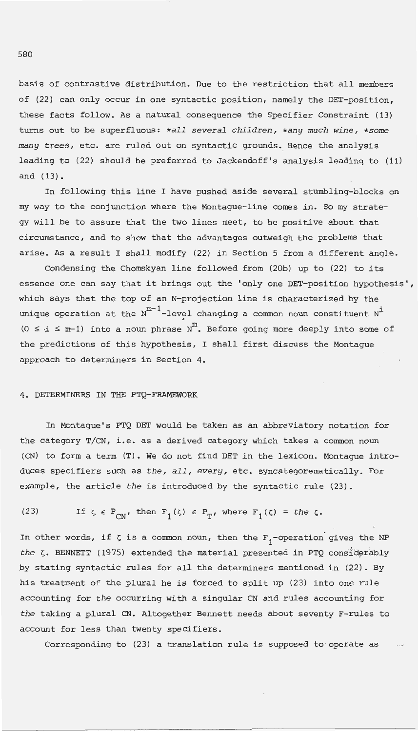basis of contrastive distribution. Due to the restriction that all members of (22) can only occur in one syntactic position, namely the DET-position , these facts follow. As a natural consequence the Specifier Constraint (13) turns out to be superfluous: *\*all several children, \*any much wine, \*some many trees,* etc. are ruled out on syntactic grounds. Hence the analysis leading to (22) should be preferred to Jackendoff's analysis leading to (11) and (13).

In following this line I have pushed aside several stumbling-blocks on my way to the conjunction where the Montague-line comes in. So my strategy will be to assure that the two lines meet, to be positive about that circumstance, and to show that the advantages outweigh the problems that arise. As a result I shall modify (22) in Section 5 from a different angle.

Condensing the Chomskyan line followed from (20b) up to (22) to its essence one can say that it brings out the 'only one DET-position hypothesis', which says that the top of an N-projection line is characterized by the unique operation at the  $N^{m-1}$ -level changing a common noun constituent  $N^{1}$ (0 *5 -i* ~ m--1) into a *noun* phrase Nm. Before going more deeply into some of the predictions of this hypothesis, I shall first discuss the Montague approach to determiners in Section 4.

# 4. DETERMINERS IN THE PTQ-FRAMEWORK

In Montague's PTQ DET would be taken as an abbreviatory notation for the category T/CN, i.e. as a derived category which takes a common *noun*  (CN) to form a term (T). We do not find DET in the lexicon. Montague introduces specifiers such as *the, all, every,* etc. syncategorematically. For example, the article *the* is introduced by the syntactic rule (23).

(23) If 
$$
\zeta \in P_{CN}
$$
, then  $F_1(\zeta) \in P_T$ , where  $F_1(\zeta) = the \zeta$ .

In other words, if  $\zeta$  is a common noun, then the  $F_1^-$ -operation gives the NP the  $\zeta$ . BENNETT (1975) extended the material presented in PTQ considerably by stating syntactic rules for all the determiners mentioned in (22). By his treatment of the plural he is forced to split up (23) into one rule accounting for *the* occurring with a singular CN and rules accounting for *the* taking a plural CN. Altogether Bennett needs about seventy F-rules to account for less than twenty specifiers.

Corresponding to (23) a translation rule is supposed to operate as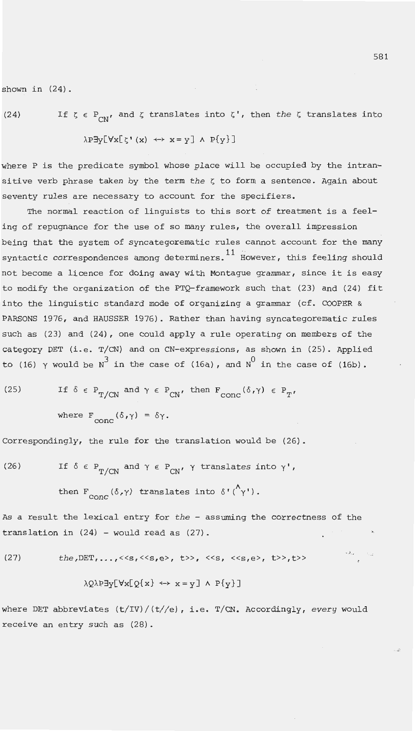shown in (24).

(24) If  $\zeta \in P_{CN'}$  and  $\zeta$  translates into  $\zeta'$ , then *the*  $\zeta$  translates into

 $\lambda P \exists y [\forall x [\zeta' (x) \leftrightarrow x = y] \wedge P\{y\}]$ 

where P is the predicate symbol whose place will be occupied by the intransitive verb phrase taken by the term  $the \zeta$  to form a sentence. Again about seventy rules are necessary to account for the specifiers.

The normal reaction of linguists to this sort of treatment is a feeling of repugnance for the use of so many rules, the overall impression being that the system of syncategorematic rules cannot account for the many syntactic correspondences among determiners.<sup>11</sup> However, this feeling should not become a licence for doing away with Montague grammar, since it is easy to modify the organization of the PTQ-framework such that (23) and (24) fit into the linguistic standard mode of organizing a grammar (cf. COOPER & PARSONS 1976, and HAUSSER 1976). Rather than having syncategorematic rules such as (23) and (24), one could apply a rule operating on members of the category DET (i.e. T/CN) and on CN-expressions, as shown in (25). Applied to (16)  $\gamma$  would be N<sup>3</sup> in the case of (16a), and N<sup>0</sup> in the case of (16b).

(25) If 
$$
\delta \in P_{T/CN}
$$
 and  $\gamma \in P_{CN'}$  then  $F_{conc}(\delta, \gamma) \in P_T$ 

where  $F_{\text{conc}}(\delta, \gamma) = \delta \gamma$ .

Correspondingly, the rule for the translation would be (26).

(26) If  $\delta \in P_{m/(N)}$  and  $\gamma \in P_{CN}$ ,  $\gamma$  translates into  $\gamma'$ ,

then  $F_{\text{conc}}(\delta,\gamma)$  translates into  $\delta'(\Lambda_{\gamma})$ .

As a result the lexical entry for *the* - assuming the correctness of the translation in  $(24)$  - would read as  $(27)$ .

(27) the,  $DEF_1, ..., \le s, \le s, e>, \ne s, \le s, e>, \le s, e>, t>, t>$ , t

$$
\lambda Q \lambda P \exists y [ \forall x [ Q \{ x \} \leftrightarrow x = y ] \land P \{ y \} ]
$$

where DET abbreviates (t/IV)/(t//e), i .e. T/CN. Accordingly, *every* would receive an entry such as (28).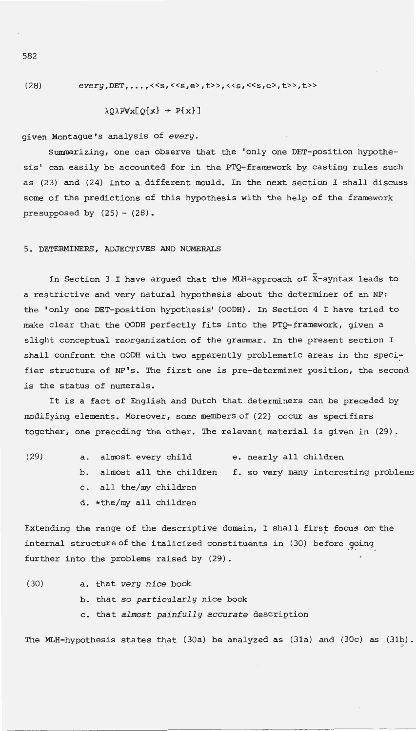(28) every,DET, ..• ,<<s,<<s,e>,t>>,<<s,<<s,e>,t>>,t>>

 $\lambda Q \lambda P \forall x [Q\{x\} \rightarrow P\{x\}]$ 

given Montague's analysis of *every.* 

Summarizing, one can observe that the 'only one DET-position hypothesis' can easily be accounted for in the PTQ-framework by casting rules such as (23) and (24) into a different mould. In the next section I shall discuss some of the predictions of this hypothesis with the help of the framework presupposed by  $(25) - (28)$ .

5. DETERMINERS, ADJECTIVES AND NUMERALS

In Section 3 I have argued that the MLH-approach of X-syntax leads to a restrictive and very natural hypothesis about the determiner of an NP: the 'only one DET-position hypothesis' (OODH) . In Section 4 I have tried to make clear that the OODH perfectly fits into the PTQ-framework, given a slight conceptual reorganization of the grammar. In the present section I shall confront the OODH with two apparently problematic areas in the specifier structure of NP's. The first one is pre-determiner position, the second is the status of numerals.

It is a fact of English and Dutch that determiners can be preceded by modifying elements. Moreover, some members of (22) occur as specifiers together, one preceding the other. The relevant material is given in (29).

| (29) | a. almost every child   | e. nearly all children                                          |
|------|-------------------------|-----------------------------------------------------------------|
|      |                         | b. almost all the children f. so very many interesting problems |
|      | c. all the/my children  |                                                                 |
|      | d. *the/my all children |                                                                 |

Extending the range of the descriptive domain, I shall first focus on' the internal structure of the italicized constituents in (30) before going further into the problems raised by (29) .

(30) a . that *very nice* book b. that *so particularly* nice book c. that *almost painfully accurate* description

The MLH-hypothesis states that (30a) be analyzed as (31a) and (30c) as (31b) .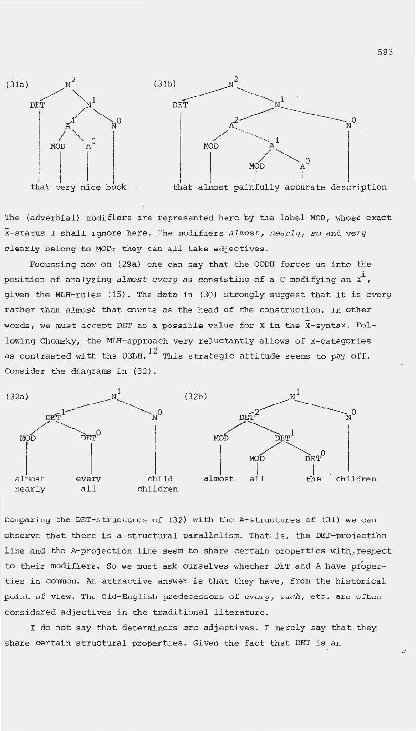

The (adverbial) modifiers are represented here by the label MOD, whose exact X-status I shall ignore here. The modifiers *almost, nearly, so* and *very*  clearly belong to MOD: they can all take adjectives.

Focussing now on (29a) one can say that the OODH forces us into the position of analyzing *almost every* as consisting of a C modifying an  $x^i$ , given the MLH-rules (15). The data in (30) strongly suggest that it is *every*  rather than *almost* that counts as the head of the construction. In other words, we must accept DET as a possible value for X in the  $\bar{x}$ -syntax. Following Chomsky, the MLH-approach very reluctantly allows of X-categories as contrasted with the U3LH.  $^{12}$  This strategic attitude seems to pay off. Consider the diagrams in (32).



Comparing the DET-structures of (32) with the A-structures of (31) we can observe that there is a structural parallelism. That is, the DET-projection line and the A-projection line seem to share certain properties with, respect to their modifiers. So we must ask ourselves whether DET and A have properties in common. An attractive answer is that they have, from the historical point of view. The Old-English predecessors of *every, each,* etc. are often considered adjectives in the traditional literature .

I do not say that determiners *are* adjectives. I merely say that they share certain structural properties. Given the fact that DET is an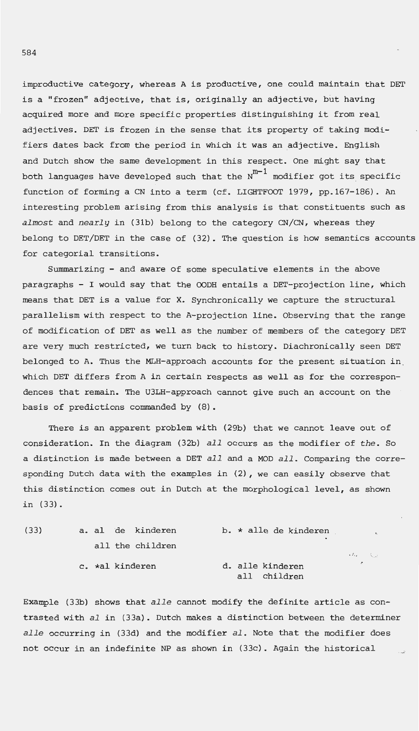improductive category, whereas A is productive, one could maintain that DET is a "frozen" adjective, that is, originally an adjective, but having acquired more and more specific properties distinguishing it from real adjectives. DET is frozen in the sense that its property of taking modifiers dates back from the period in which it was an adjective. English and Dutch show the same development in this respect. One might say that both languages have developed such that the  $N^{m-1}$  modifier got its specific function of forming a CN into a term (cf. LIGHTFOOT 1979, pp.167-186). An interesting problem arising from this analysis is that constituents such as *almost* and *nearly* in (31b) belong to the category CN/CN , whereas they belong to DET/DET in the case of  $(32)$ . The question is how semantics accounts for categorial transitions.

Summarizing - and aware of some speculative elements in the above paragraphs - I would say that the OODH entails a DET-projection line, which means that DET is a value for X. Synchronically we capture the structural parallelism with respect to the A-projection line . Observing that the range of modification of DET as well as the number of members of the category DET are very much restricted, we turn back to history. Diachronically seen DET belonged to A. Thus the MLH-approach accounts for the present situation in which DET differs from A in certain respects as well as for the correspondences that remain. The U3LH-approach cannot give such an account on the basis of predictions commanded by (8) .

There is an apparent problem with (29b) that we cannot leave out of consideration. In the diagram (32b) *all* occurs as the modifier of *the .* So a distinction is made between a DET *all* and a MOD *all .* Comparing the corresponding Dutch data with the examples in  $(2)$ , we can easily observe that this distinction comes out in Dutch at the morphological level, as shown in (33) .

(33) a. al de kinderen b. \* alle de kinderen all the children c. \*al kinderen <br />
d. alle kinderen all children

Example (33b) shows that *alle* cannot modify the definite article as contrasted with *al* in (33a) . Dutch makes a distinction between the determiner *alle* occurring in (33d) and the modifier *al .* Note that the modifier does not occur in an indefinite NP as shown in (33c) . Again the historical

 $\mathcal{P}_{\text{ref}} = \mathcal{P}_{\text{ref}}$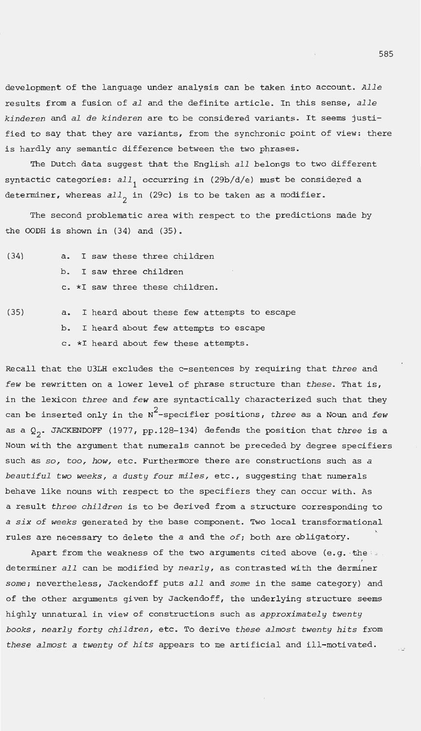development of the language under analysis can be taken into account. *Alle*  results from a fusion of *al* and the definite article. In this sense, *alle kinderen* and *al de kinderen* are to be considered variants. It seems justified to say that they are variants, from the synchronic point of view: there is hardly any semantic difference between the two phrases.

The Dutch data suggest that the English *all* belongs to two different syntactic categories:  $all$ , occurring in (29b/d/e) must be considered a determiner, whereas  $all_{2}$  in (29c) is to be taken as a modifier.

The second problematic area with respect to the predictions made by the OODH is shown in  $(34)$  and  $(35)$ .

- (34) a. I saw these three children b. I saw three children c. \*I saw three these children.
- (35) a. I heard about these few attempts to escape b. I heard about few attempts to escape c. \*I heard about few these attempts.

Recall that the U3LH excludes the c-sentences by requiring that *three* and *few* be rewritten on a lower level of phrase structure than *these.* That is, in the lexicon *three* and *few* are syntactically characterized such that they can be inserted only in the N2 -specifier positions, *three* as a Noun and *few*  as a Q<sub>2</sub>. JACKENDOFF (1977, pp.128-134) defends the position that *three* is a Noun with the argument that numerals cannot be preceded by degree specifiers such as so, *too, how,* etc. Furthermore there are constructions such as *<sup>a</sup> beautiful two weeks, a dusty four miles,* etc., suggesting that numerals behave like nouns with respect to the specifiers they can occur with. As a result *three children* is to be derived from a structure corresponding to *a six of weeks* generated by the base component. Two local transformational rules are necessary to delete the *a* and the *of;* both are obligatory.

Apart from the weakness of the two arguments cited above (e.g. the  $\sim$ determiner *all* can be modified by *nearly,* as contrasted with the derminer *some;* nevertheless, Jackendoff puts *all* and *some* in the same category) and of the other arguments given by Jackendoff, the underlying structure seems highly unnatural in view of constructions such as *approximately twenty books, nearly forty children,* etc. To derive *these almost twenty hits* from *these almost a twenty of hits* appears to me artificial and ill-motivated.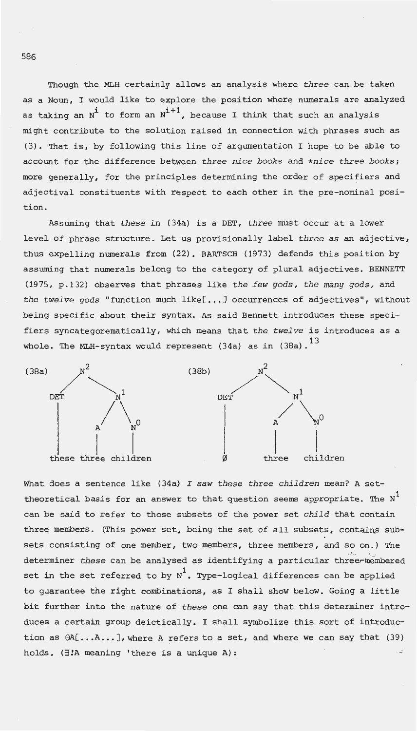Though the MLH certainly allows an analysis where *three* can be taken as a Noun, I would like to explore the position where numerals are analyzed as taking an N<sup>i</sup> to form an N<sup>i+1</sup>, because I think that such an analysis might contribute to the solution raised in connection with phrases such as  $(3)$ . That is, by following this line of argumentation I hope to be able to account for the difference between *three nice books* and *\*nice three books;*  more generally, for the principles determining the order of specifiers and adjectival constituents with respect to each other in the pre-nominal position .

Assuming that *these* in (34a) is a DET, *three* must occur at a lower level of phrase structure. Let us provisionally label *three* as an adjective, thus expelling numerals from (22). BARTSCH (1973) defends this position by assuming that numerals belong to the category of plural adjectives. BENNETT (1975, p.132) observes that phrases like *the few gods, the many gods,* and *the twelve gods* "function much like[ ••. ] occurrences of adjectives", without being specific about their syntax. As said Bennett introduces these specifiers syncategorematically, which means that *the twelve* is introduces as a whole. The MLH-syntax would represent  $(34a)$  as in  $(38a)$ .<sup>13</sup>



What does a sentence like (34a) *I saw these three children* mean? A settheoretical basis for an answer to that question seems appropriate. The  $N^1$ can be said to refer to those subsets of the power set *child* that contain three members. (This power set, being the set of all subsets, contains subsets consisting of one member, two members, three members, and so on.) The determiner *these* can be analysed as identifying a particular three-membered set in the set referred to by  $N^1$ . Type-logical differences can be applied to guarantee the right combinations, as I shall show below. Going a little bit further into the nature of *these* one can say that this determiner introduces a certain group deictically. I shall symbolize this sort of introduction as  $\theta A[\ldots,A\ldots]$ , where A refers to a set, and where we can say that (39) holds. (3!A meaning 'there is a unique A):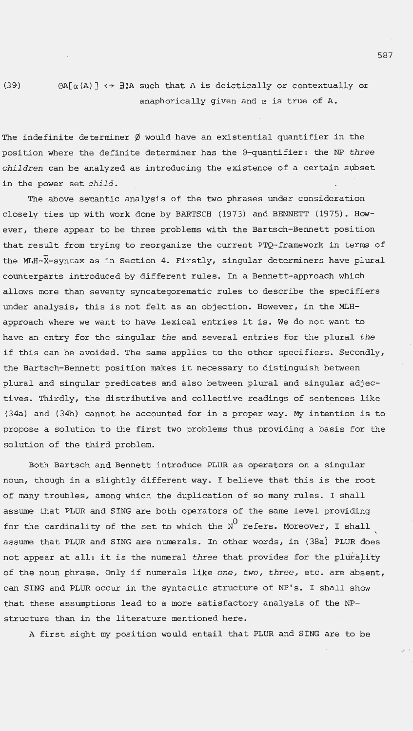(39)  $\Theta A[\alpha(A)] \leftrightarrow \exists! A$  such that A is deictically or contextually or anaphorically given and  $\alpha$  is true of A.

The indefinite determiner  $\emptyset$  would have an existential quantifier in the position where the definite determiner has the 0-quantifier : the NP *three children* can be analyzed as introducing the existence of a certain subset in the power set *child.* 

The above semantic analysis of the two phrases under consideration closely ties up with work done by BARTSCH (1973) and BENNETT (1975) . However, there appear to be three problems with the Bartsch-Bennett position that result from trying to reorganize the current PTQ- framework in terms of the MLH- $X$ -syntax as in Section 4. Firstly, singular determiners have plural counterparts introduced by different rules. In a Bennett-approach which allows more than seventy syncategorematic rules to describe the specifiers under analysis, this is not felt as an objection. However , in the MLHapproach where we want to have lexical entries it is. We do not want to have an entry for the singular *the* and several entries for the plural *the*  if this can be avoided. The same applies to the other specifiers. Secondly, the Bartsch-Bennett position makes it necessary to distinguish between plural and singular predicates and also between plural and singular adjectives. Thirdly, the distributive and collective readings of sentences like (34a) and (34b) cannot be accounted for in a proper way . My intention is to propose a solution to the first two problems thus providing a basis for the solution of the third problem.

Both Bartsch and Bennett introduce PLUR as operators on a singular noun, though in a slightly different way. I believe that this is the root of many troubles, among which the duplication of so many rules. I shall assume that PLUR and SING are both operators of the same level providing for the cardinality of the set to which the  $N^{\text{O}}$  refers. Moreover, I shall assume that PLUR and SING are numerals. In other words, in (38a) PLUR does not appear at all: it is the numeral *three* that provides for the plurality of the noun phrase . Only if numerals like one, *two, three ,* etc . are absent , can SING and PLUR occur in the syntactic structure of NP's. I shall show that these assumptions lead to a more satisfactory analysis of the NPstructure than in the literature mentioned here.

A first sight my position would entail that PLUR and SING are to be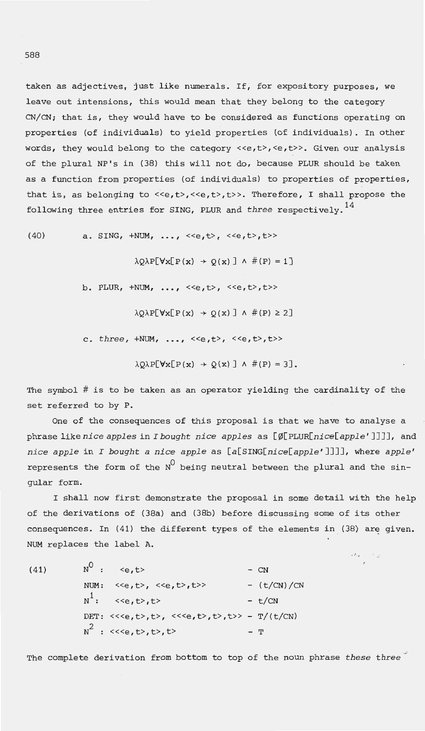taken as adjectives, just like numerals. If, for expository purposes, we leave out intensions, this would mean that they belong to the category CN/CN; that is, they would have to be considered as functions operating on properties (of individuals) to yield properties (of individuals) . In other words, they would belong to the category <<e,t>, <e,t>>. Given our analysis of the plural NP's in (38) this will not do, because PLUR should be taken as a function from properties (of individuals) to properties of properties, that is, as belonging to <<e,t>,<<e,t>>,t>>. Therefore, I shall propose the following three entries for SING, PLUR and *three* respectively.<sup>14</sup>

(40) a. SING, +NUM, ..., <<e,t>, <<e,t>,t>>  $\lambda$ O $\lambda$ P[ $\forall$ x[ $P(x) \rightarrow O(x)$ ]  $\wedge \#(P) = 1$ ] b. PLUR, +NUM, ..., <<e, t>, <<e, t>, t>>  $\lambda Q \lambda P[\forall x [P(x) \rightarrow Q(x)] \wedge #(P) \ge 2]$ c. three,  $+NUM, ...,$ ,  $\langle$ ,  $$ ,  $t>$  $\lambda$ Q $\lambda$ P[ $\forall$ x[ $P(x)$  + Q(x)]  $\wedge$  #( $P$ ) = 3].

The symbol # is to be taken as an operator yielding the cardinality of the set referred to by P.

One of the consequences of this proposal is that we have to analyse a phrase like *nice apples* in *I bought nice apples* as [0[PLUR[nice[app1e ' ]]]], and *nice apple* in *I bought a nice apple* as [a[SING[nice[apple ' ] ]]], where *apple '*  represents the form of the  $N^0$  being neutral between the plural and the singular form.

I shall now first demonstrate the proposal in some detail with the help of the derivations of (38a) and (38b) before discussing some of its other consequences. In (41) the different types of the elements in (38) are given. NUM replaces the label A.

 $\mathcal{P}_{\mathcal{F}} = \mathcal{P}_{\mathcal{F}}$ 

(41)  $N^0$  :  $\langle e, t \rangle$  - CN NUM:  $\langle e, t \rangle$ ,  $\langle e, t \rangle$ ,  $\langle e, t \rangle$ ,  $\langle e \rangle$  - (t/CN)/CN  $N^1$ :  $\langle e, t \rangle, t \rangle$  -  $t/CN$ DET: <<<e,t>,t>, <<<e,t>,t>,t>,t>> - T/(t/CN)  $N^2$  : <<<e, t>, t>, t>

The complete derivation from bottom to top of the noun phrase *these three*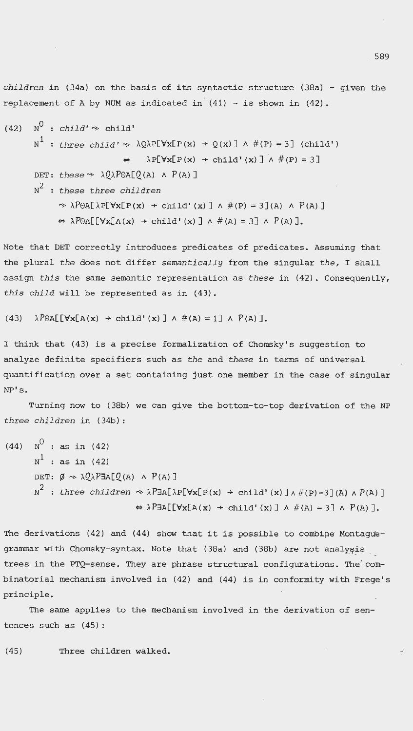*children* in (34a) on the basis of its syntactic structure (38a) - given the replacement of A by NUM as indicated in  $(41)$  - is shown in  $(42)$ .

(42) 
$$
N^0
$$
 : child'  $\sim$  child'  
\n $N^1$  : three child'  $\sim \lambda Q\lambda P[Vx[P(x) \rightarrow Q(x)] \land \#(P) = 3]$  (child')  
\n $\Leftrightarrow \lambda P[Vx[P(x) \rightarrow child'(x)] \land \#(P) = 3]$   
\nDET: these  $\sim \lambda Q\lambda P\theta A[Q(A) \land P(A)]$   
\n $N^2$  : these three children  
\n $\sim \lambda P\theta A[\lambda P[Vx[P(x) \rightarrow child'(x)] \land \#(P) = 3](A) \land P(A)]$   
\n $\Leftrightarrow \lambda P\theta A[Vx[A(x) \rightarrow child'(x)] \land \#(A) = 3] \land P(A)].$ 

Note that DET correctly introduces predicates of predicates. Assuming that the plural *the* does not differ *semantically* from the singular *the,* I shall assign *this* the same semantic representation as *these* in (42) . Consequently, *this child* will be represented as in (43).

(43)  $\lambda \text{PTheta}[\text{Vx}[A(x) \rightarrow \text{child'}(x)] \wedge \#(A) = 1] \wedge \text{P}(A)].$ 

I think that (43) is a precise formalization of Chomsky's suggestion to analyze definite specifiers such as *the* and *these* in terms of universal quantification over a set containing just one member in the case of singular NP's.

Turning now to (38b) we can give the bottom-to-top derivation of the NP *three children* in (34b) :

(44) 
$$
N^{\circ}
$$
 : as in (42)  
\n $N^{\circ}$  : as in (42)  
\nDET:  $\emptyset \rightsquigarrow \lambda Q \lambda P \exists A [Q(A) \land P(A)]$   
\n $N^2$  : three children  $\rightsquigarrow \lambda P \exists A [\lambda P[\forall x [P(x) \rightarrow child' (x)] \land \#(P) = 3](A) \land P(A)]$   
\n $\Leftrightarrow \lambda P \exists A [[\forall x [A(x) \rightarrow child' (x)] \land \#(A) = 3] \land P(A)].$ 

The derivations (42) and (44) show that it is possible to combine Montaguegrammar with Chomsky-syntax. Note that (38a) and (38b) are not analysis trees in the PTQ-sense. They are phrase structural configurations. The' combinatorial mechanism involved in (42) and (44) is in conformity with Frege's principle .

The same applies to the mechanism involved in the derivation of sentences such as (45) :

(45) Three children walked.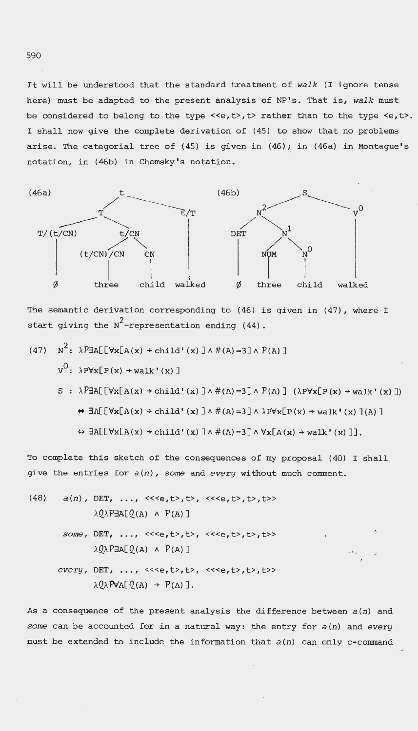It will be understood that the standard treatment of *walk* (I ignore tense here) must be adapted to the present analysis of NP's. That is, walk must be considered to belong to the type <<e, t>, t> rather than to the type <e, t>. I shall now give the complete derivation of (45) to show that no problems arise. The categorial tree of (45) is given in (46); in (46a) in Montague's notation, in (46b) in Chomsky's notation.



The semantic derivation corresponding to (46) is given in (47), where I start giving the  $N^2$ -representation ending (44).

(47) 
$$
N^2
$$
:  $\lambda P \exists A [[\forall x[A(x) \rightarrow child' (x)] \land \#(A) = 3] \land P(A)]$   
\n $V^0$ :  $\lambda P \forall x [P(x) \rightarrow walk' (x)]$   
\n $S : \lambda P \exists A [[\forall x[A(x) \rightarrow child' (x)] \land \#(A) = 3] \land P(A)]$  ( $\lambda P \forall x [P(x) \rightarrow walk' (x)]$ )  
\n $\Leftrightarrow \exists A [[\forall x [A(x) \rightarrow child' (x)] \land \#(A) = 3] \land \lambda P \forall x [P(x) \rightarrow walk' (x)] (A)]$   
\n $\Leftrightarrow \exists A [[\forall x [A(x) \rightarrow child' (x)] \land \#(A) = 3] \land \forall x [A(x) \rightarrow walk' (x)]]$ .

To complete this sketch of the consequences of my proposal (40) I shall give the entries for  $a(n)$ , some and every without much comment.

(48) *a*(n), DET, ..., <<<e, t>, t>, <<<e, t>, t>, t>>  $\lambda$ Q $\lambda$ P $\nexists$ A[Q(A)  $\land$  P(A)] *some*, DET, ..., <<<e, t>, t>, <<<e, t>, t>, t>>  $\lambda$ Q $\lambda$ P $\nexists$ A[Q(A)  $\wedge$  P(A)] *every*, DET, ..., <<<e, t>, t>, <<<e, t>, t>>  $\lambda$ Q $\lambda$ PVA[Q(A) + P(A)].

As a consequence of the present analysis the difference between  $a(n)$  and some can be accounted for in a natural way: the entry for  $a(n)$  and *every* must be extended to include the information-that  $a(n)$  can only c-command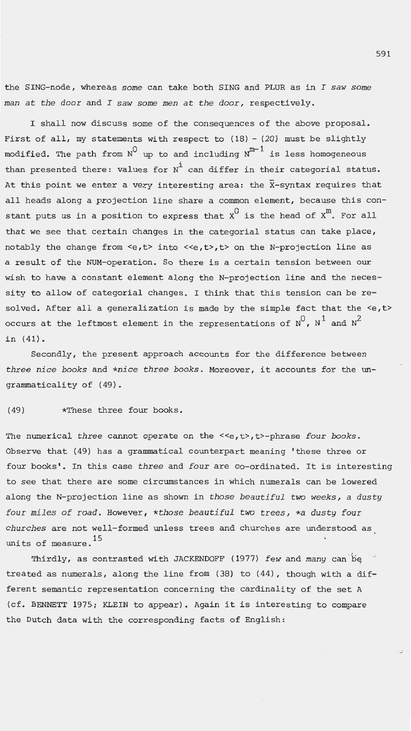the SING-node, whereas *some* can take both SING and PLUR as in *I saw some man at the door* and *I saw some men at the door,* respectively.

I shall now discuss some of the consequences of the above proposal. First of all, my statements with respect to  $(18) - (20)$  must be slightly modified. The path from  $N^0$  up to and including  $N^{m-1}$  is less homogeneous than presented there: values for  $N^1$  can differ in their categorial status. At this point we enter a very interesting area: the X-syntax requires that all heads along a projection line share a common element, because this constant puts us in a position to express that  $x^0$  is the head of  $x^m$ . For all that we see that certain changes in the categorial status can take place, notably the change from <e,t> into <<e,t>,t> on the N-projection line as a result of the NUM-operation. So there is a certain tension between our wish to have a constant element along the N-projection line and the necessity to allow of categorial changes. I think that this tension can be resolved. After all a generalization is made by the simple fact that the  $\leq e, t$ occurs at the leftmost element in the representations of  $N^0$ ,  $N^1$  and  $N^2$ in (41).

Secondly, the present approach accounts for the difference between *three nice books* and *\*nice three books.* Moreover, it accounts for the ungrammaticality of (49).

# (49) \*These three four books.

The numerical *three* cannot operate on the <<e, t>, t>-phrase *four books*. Observe that (49) has a grammatical counterpart meaning 'these three or four books'. In this case *three* and *four* are co-ordinated. It is interesting to see that there are some circumstances in which numerals can be lowered along the N-projection line as shown in *those beautiful two weeks, a dusty four miles of road.* However, *\*those beautiful two trees, \*a dusty four churches* are not well-formed unless trees and churches are understood as units of measure. <sup>15</sup>

Thirdly, as contrasted with JACKENDOFF (1977) *few* and *many* can be treated as numerals, along the line from (38) to (44), though with a different semantic representation concerning the cardinality of the set A (cf. BENNETT 1975; KLEIN to appear). Again it is interesting to compare the Dutch data with the corresponding facts of English: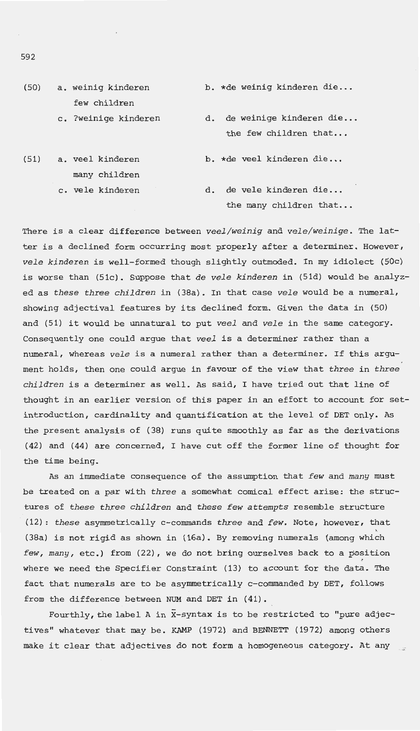- (50) a. weinig kinderen few children b. \*de weinig kinderen die...
	- c. ?weinige kinderen

d. de weinige kinderen die... the few children that...

the many children that...

(51) a. veel kinderen many children c. vele kinderen b. \*de veel kinderen die... d. de vele kinderen die...

There is a clear difference between *veel/weinig* and *vele/weinige.* The latter is a declined form occurring most properly after a determiner. However, *vele kinderen* is well-formed though slightly outmoded. In my idiolect (50c) is worse than (51c). Suppose that *de vele kinderen* in (51d) would be analyzed as *these three children* in (38a). In that case *vele* would be a numeral, showing adjectival features by its declined form. Given the data in (50) and (51) it would be unnatural to put *veel* and *vele* in the same category. Consequently one could argue that *veel* is a determiner rather than a numeral, whereas *vele* is a numeral rather than a determiner. If this argument holds, then one could argue in favour of the view that *three* in *three children* is a determiner as well. As said, I have tried out that line of thought in an earlier version of this paper in an effort to account for setintroduction, cardinality and quantification at the level of DET only. As the present analysis of (38) runs quite smoothly as far as the derivations (42) and (44) are concerned, I have cut off the former line of thought for the time being.

As an immediate consequence of the assumption that *few* and *many* must be treated on a par with *three* a somewhat comical effect arise: the structures of *these three children* and *these few attempts* resemble structure (12): *these* asymmetrically c-commands *three* and *few.* Note, however, that (38a) is not rigid as shown in (16a). By removing numerals (among which *few, many,* etc.) from (22), we do not bring ourselves back to a position where we need the Specifier Constraint (13) to account for the data. The fact that numerals are to be asymmetrically c-commanded by DET, follows from the difference between NUM and DET in (41).

Fourthly, the label A in X-syntax is to be restricted to "pure adjectives" whatever that may be. KAMP (1972) and BENNETT (1972) among others make it clear that adjectives do not form a homogeneous category. At any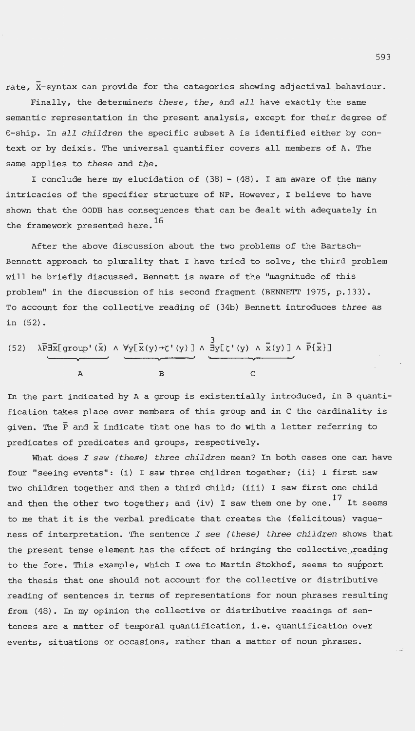rate, X-syntax can provide for the categories showing adjectival behaviour.

Finally, the determiners *these, the,* and *all* have exactly the same semantic representation in the present analysis, except for their degree of 8-ship . In *all children* the specific subset A is identified either by context or by deixis. The universal quantifier covers all members of A. The same applies to *these* and *the .* 

I conclude here my elucidation of (38) - (48) . I am aware of the many intricacies of the specifier structure of NP. However, I believe to have shown that the OODH has consequences that can be dealt with adequately in the framework presented here.<sup>16</sup>

After the above discussion about the two problems of the Bartsch-Bennett approach to plurality that I have tried to solve, the third problem will be briefly discussed. Bennett is aware of the "magnitude of this problem" in the discussion of his second fragment (BENNETT 1975, p.133). To account for the collective reading of (34b) Bennett introduces three as in (52) .

(52) 
$$
\lambda \overline{P} \exists \overline{x} [ \text{group}' (\overline{x}) \land \forall y [\overline{x}(y) \rightarrow z' (y)] \land \overline{\exists y} [\overline{z}' (y) \land \overline{x}(y)] \land \overline{P} {\overline{x}}]
$$

In the part indicated by A a group is existentially introduced, in B quantification takes place over members of this group and in C the cardinality is given. The  $\bar{P}$  and  $\bar{x}$  indicate that one has to do with a letter referring to predicates of predicates and groups, respectively .

What does *I saw (these) three children* mean? In both cases one can have four "seeing events": (i) I saw three children together; (ii) I first saw two children together and then a third child; (iii) I saw first one child and then the other two together; and (iv) I saw them one by one.<sup>17</sup> It seems to me that it is the verbal predicate that creates the (felicitous) vagueness of interpretation. The sentence *I see (these) three children* shows that the present tense element has the effect of bringing the collective reading to the fore. This example, which I owe to Martin Stokhof, seems to support the thesis that one should not account for the collective or distributive reading of sentences in terms of representations for noun phrases resulting from (48) . In my opinion the collective or distributive readings of sentences are a matter of temporal quantification , i.e. quantification over events, situations or occasions, rather than a matter of noun phrases.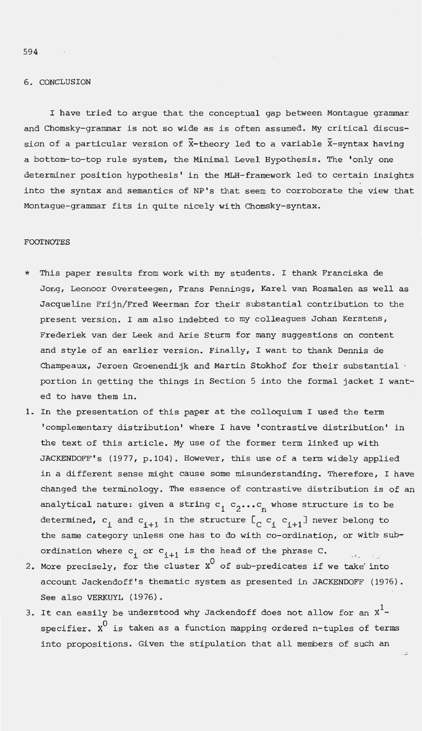# 6. CONCLUSION

I have tried to argue that the conceptual gap between Montague grammar and Chomsky-grammar is not so wide as is often assumed. My critical discussion of a particular version of  $\overline{X}$ -theory led to a variable  $\overline{X}$ -syntax having a bottom-to-top rule system, the Minimal Level Hypothesis. The 'only one determiner position hypothesis ' in the MLH-framework led to certain insights into the syntax and semantics of NP's that seem to corroborate the view that Montague-grammar fits in quite nicely with Chomsky-syntax.

### **FOOTNOTES**

- This paper results from work with my students. I thank Franciska de Jong, Leonoor Oversteegen, Frans Pennings, Karel van Rosmalen as well as Jacqueline Frijn/Fred Weerman for their substantial contribution to the present version. I am also indebted to my colleagues Johan Kerstens, Frederiek van der Leek and Arie Sturm for many suggestions on content and style of an earlier version. Finally, I want to thank Dennis de Champeaux, Jeroen Groenendijk and Martin Stokhof for their substantial  $\cdot$ portion in getting the things in Section 5 into the formal jacket I wanted to have them in.
- 1. In the presentation of this paper at the colloquium I used the term 'complementary distribution' where I have ' contrastive distribution' in the text of this article. My use of the former term linked up with JACKENDOFF's (1977, p.104). However, this use of a term widely applied in a different sense might cause some misunderstanding. Therefore, I have changed the terminology . The essence of contrastive distribution is of an analytical nature: given a string  $c_1$   $c_2$ ...  $c_n$  whose structure is to be determined,  $c_i$  and  $c_{i+1}$  in the structure  $[c_i \ c_{i+1}]$  never belong to the same category unless one has to do with co-ordinatiop, or with-subordination where  $c_i$  or  $c_{i+1}$  is the head of the phrase  $c$ .
- 2. More precisely, for the cluster  $x^0$  of sub-predicates if we take into account Jackendoff's thematic system as presented in JACKENDOFF (1976). See also VERKUYL (1976).
- 3. It can easily be understood why Jackendoff does not allow for an  $x^1$ specifier.  $x^0$  is taken as a function mapping ordered n-tuples of terms into propositions. Given the stipulation that all members of such an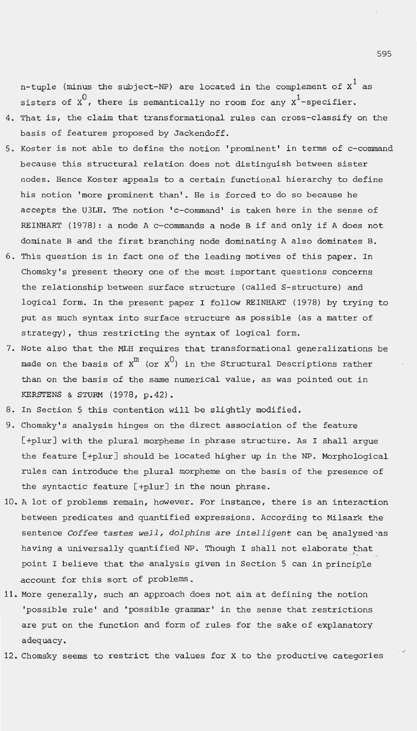n-tuple (minus the subject-NP) are located in the complement of  $x^1$  as sisters of  $\chi^0$ , there is semantically no room for any  $\chi^1$ -specifier.

- 4. That is, the claim that transformational rules can cross-classify on the basis of features proposed by Jackendoff.
- 5. Koster is not able to define the notion 'prominent' in terms of c-command because this structural relation does not distinguish between sister nodes. Hence Koster appeals to a certain functional hierarchy to define his notion 'more prominent than'. He is forced to do so because he accepts the U3LH. The notion 'c-command' is taken here in the sense of REINHART (1978): a node Ac-commands a node B if and only if A does not dominate B and the first branching node dominating A also dominates B.
- 6. This question is in fact one of the leading motives of this paper. In Chomsky's present theory one of the most important questions concerns the relationship between surface structure (called S-structure) and logical form. In the present paper I follow REINHART (1978) by trying to put as much syntax into surface structure as possible (as a matter of strategy) , thus restricting the syntax of logical form.
- 7. Note also that the MLH requires that transformational generalizations be made on the basis of  $x^m$  (or  $x^0$ ) in the Structural Descriptions rather than on the basis of the same numerical value, as was pointed out in KERSTENS & STURM (1978, p.42).
- 8. In Section 5 this contention will be slightly modified.
- 9. Chomsky's analysis hinges on the direct association of the feature [+plur] with the plural morpheme in phrase structure. As I shall argue the feature [+plur] should be located higher up in the NP. Morphological rules can introduce the plural morpheme on the basis of the presence of the syntactic feature [+plur] in the noun phrase.
- 10. A lot of problems remain, however. For instance, there is an interaction between predicates and quantified expressions. According to Milsark the sentence *Coffee tastes well, dolphins are intelligent* can be analysed as having a universally quantified NP. Though I shall not elaborate that point I believe that the analysis given in Section 5 can in principle account for this sort of problems.
- 11. More generally, such an approach does not aim at defining the notion 'possible rule' and 'possible grammar' in the sense that restrictions are put on the function and form of rules for the sake of explanatory adequacy.
- 12. Chomsky seems to restrict the values for X to the productive categories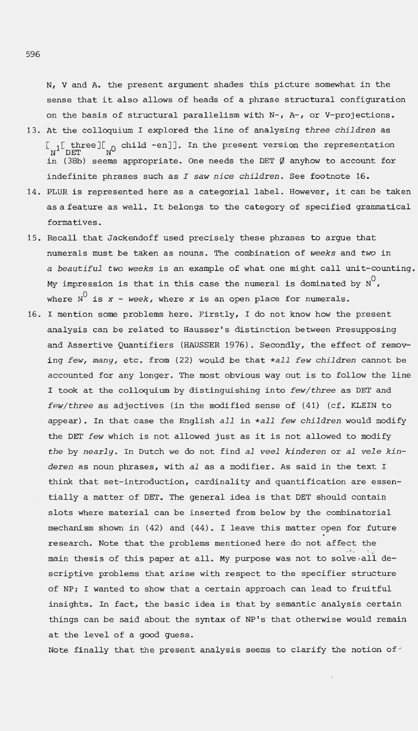N, v and A. the present argument shades this picture somewhat in the sense that it also allows of heads of a phrase structural configuration on the basis of structural parallelism with N-, A-, or V-projections.

- 13 . At the colloquium I explored the line of analysing *three children* as  $\begin{bmatrix} 1 & \text{three} \\ \text{N}^1 & \text{DET} \end{bmatrix}$  child -en]]. In the present version the representation in (38b) seems appropriate. One needs the DET  $\emptyset$  anyhow to account for indefinite phrases such as *I saw nice children .* See footnote 16 .
- 14. PLUR is represented here as a categorial label. However, it can be taken as a feature as well. It belongs to the category of specified grammatical formatives.
- 15 . Recall that Jackendoff used precisely these phrases to argue that numerals must be taken as nouns. The combination of *weeks* and *two* in *a beautiful two weeks* is an example of what one might call unit-counting. My impression is that in this case the numeral is dominated by  $N^U$ , where  $N^0$  is  $x - \textit{week}$ , where  $x$  is an open place for numerals.
- <sup>16</sup> . I mention some problems here . Firstly, I do not know how the present analysis can be related to Hausser's distinction between Presupposing and Assertive Quantifiers (HAUSSER 1976). Secondly, the effect of removing *few, many ,* etc . from (22) would be that *\*all few children* cannot be accounted for any longer. The most obvious way out is to follow the line I took at the colloquium by distinguishing into *few/three* as DET and *few/three* as adjectives (in the modified sense of (41) (cf. KLEIN to appear) . In that case the English *all* in *\*all few children* would modify the DET *few* which is not allowed just as it is not allowed to modify *the* by *nearly .* In Dutch we do not find *al veel kinderen* or *al vele kinderen* as noun phrases, with *al* as a modifier . As said in the text I think that set-introduction, cardinality and quantification are essentially a matter of DET. The general idea is that DET should contain slots where material can be inserted from below by the combinatorial mechanism shown in (42) and (44) . I leave this matter open for future research. Note that the problems mentioned here do not affect the " . >\_, '.. \_ \_.:: main thesis of this paper at all. My purpose was not to solve all descriptive problems that arise with respect to the specifier structure of NP; I wanted to show that a certain approach can lead to fruitful insights. In fact, the basic idea is that by semantic analysis certain things can be said about the syntax of NP's that otherwise would remain at the level of a good guess.

Note finally that the present analysis seems to clarify the notion of  $\hat{f}$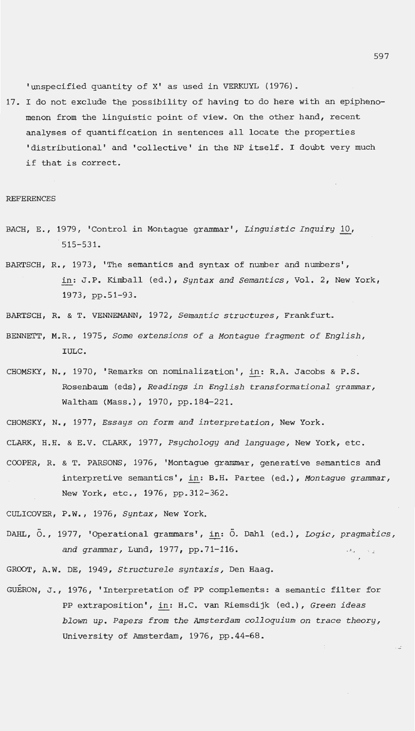'unspecified quantity of X' as used in VERKUYL (1976) .

17. I do not exclude the possibility of having to do here with an epiphenomenon from the linguistic point of view. On the other hand, recent analyses of quantification in sentences all locate the properties 'distributional' and 'collective' in the NP itself. I doubt very much if that is correct.

#### REFERENCES

- BACH, E., 1979, 'Control in Montague grammar', *Linguistic Inquiry* 10, 515-531.
- BARTSCH, R., 1973, 'The semantics and syntax of number and numbers', in : J.P. Kimball (ed.) , *Syntax and Semantics,* Vol. 2, New York , 1973, pp . 51-93 .
- BARTSCH, R. & T. VENNEMANN , 1972, *Semantic structures,* Frankfurt.
- BENNETT, M.R., 1975, *Some extensions of a Montague fragment of English ,*  IULC.
- CHOMSKY, N., 1970, 'Remarks on nominalization', in: R.A. Jacobs & P.S. Rosenbaum (eds), *Readings in English transformational grammar,*  Waltham (Mass.), 1970, pp.184-221.
- CHOMSKY , N. , 1977 , *Essays on form and interpretation ,* New York .
- CLARK, H. H. & E.V. CLARK, 1977, *Ps ychology and language,* New York, etc.
- COOPER, R. & T. PARSONS , 1976, 'Mon tague grammar, generative semantics and interpretive semantics', in: B.H. Partee (ed.), Montague grammar, New York, etc., 1976, pp. 312-362.

CULICOVER, P.W. , 1976, *Syntax ,* New York.

DAHL, O., 1977, 'Operational grammars', in: O. Dahl (ed.), *Logic, pragmatics,* and grammar, Lund, 1977, pp.71-116.

GROOT, A. W. DE, 1949, *Structurele s yntaxis,* Den Haag.

GUERON, J., 1976, 'Interpretation of PP complements: a semantic filter for PP e xtraposition', in: H.C . van Riemsdijk (ed . ) , *Green ideas blown up . Papers from the Amsterdam colloquium on trace theory,*  University of Amsterdam, 1976, pp.44-68.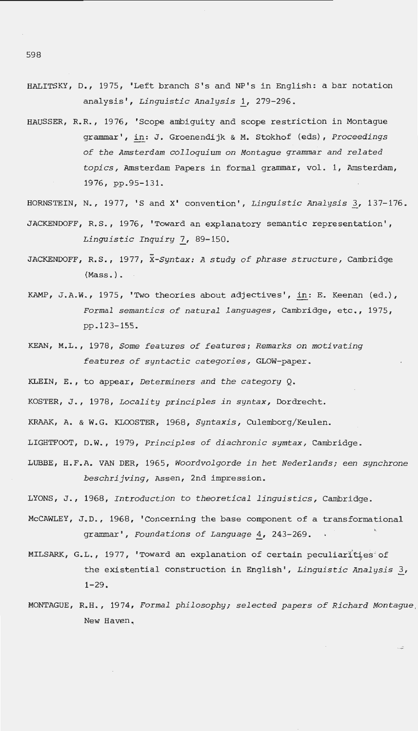- HALITSKY, D., 1975, 'Left branch S's and NP's in English: a bar notation analysis', *Linguistic Analysis l\_,* 279-296.
- HAUSSER, R.R., 1976, 'Scope ambiguity and scope restriction in Montague grammar', in: J. Groenendijk & M. Stokhof (eds), *Proceedings of the Amsterdam colloquium on Montague grammar and related topics,* Amsterdam Papers in formal grammar, vol. 1, Amsterdam, 1976, pp.95-131.
- HORNSTEIN, N., 1977, 'S and X' convention', *Linguistic Analysis* 3, 137-176.
- JACKENDOFF, R.S., 1976, 'Toward an explanatory semantic representation', *Linguistic Inquiry 7\_,* 89-150.
- JACKENDOFF, R.S. , 1977, *X-Syntax: A study of phrase structure,* Cambridge (Mass . ).
- KAMP, J.A.W., 1975, 'Two theories about adjectives', in: E. Keenan (ed.), *Formal semantics of natural languages ,* Cambridge, etc., 1975 , pp.123-155.
- KEAN , M.L., 1978, *Some features of features ; Remarks on motivating features of syntactic categories,* GLOW-paper .
- KLEIN, E. , to appear, *Determiners and the category* Q.
- KOSTER, J., 1978, *Locality principles in syntax*, Dordrecht.
- KRAAK, A. & W.G. KLOOSTER, 1968, *Syntaxis,* Culemborg/Keulen.
- LIGHTFOOT , D.W., 1979, *Principles of diachronic symtax ,* Cambridge .
- LUBBE, H. F.A. VAN DER, 1965 , *Woordvolgorde in het Nederlands; een synchrone beschrijving,* Assen , 2nd impression .
- LYONS , J. , 1968, *Introduction to theoretical linguistics,* Cambridge.
- McCAWLEY, J.D., 1968, 'Concerning the base component of a transformational grammar', *Foundations of Language* 4, 243-269.
- MILSARK, G.L., 1977, 'Toward an explanation of certain peculiarities of the existential construction in English', *Linguistic Analysis* 3,  $1 - 29$ .
- MONTAGUE, R.H., 1974 , *Formal philosophy ; selected papers of Richard Montague,*  New Haven ..